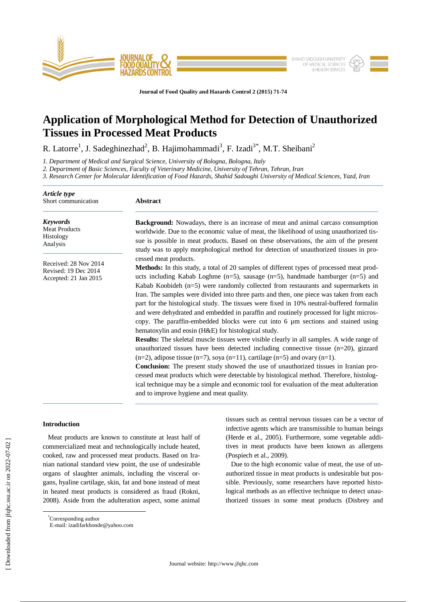

**Journal of Food Quality and Hazards Control 2 (2015) 71-74**

# **Application of Morphological Method for Detection of Unauthorized Tissues in Processed Meat Products**

R. Latorre<sup>1</sup>, J. Sadeghinezhad<sup>2</sup>, B. Hajimohammadi<sup>3</sup>, F. Izadi<sup>3\*</sup>, M.T. Sheibani<sup>2</sup>

*1. Department of Medical and Surgical Science, University of Bologna, Bologna, Italy*

*2. Department of Basic Sciences, Faculty of Veterinary Medicine, University of Tehran, Tehran, Iran*

*3. Research Center for Molecular Identification of Food Hazards, Shahid Sadoughi University of Medical Sciences, Yazd, Iran*

| <b>Abstract</b>                                                                                                                                                                                                                                                                                                                                                                                                                                                                                                                                                                                                                                                                                                                                                                                                                                                                                                                                                                                                                                                                                                                                                                                                                                                                                                                                            |  |  |  |  |
|------------------------------------------------------------------------------------------------------------------------------------------------------------------------------------------------------------------------------------------------------------------------------------------------------------------------------------------------------------------------------------------------------------------------------------------------------------------------------------------------------------------------------------------------------------------------------------------------------------------------------------------------------------------------------------------------------------------------------------------------------------------------------------------------------------------------------------------------------------------------------------------------------------------------------------------------------------------------------------------------------------------------------------------------------------------------------------------------------------------------------------------------------------------------------------------------------------------------------------------------------------------------------------------------------------------------------------------------------------|--|--|--|--|
| <b>Background:</b> Nowadays, there is an increase of meat and animal carcass consumption<br>worldwide. Due to the economic value of meat, the likelihood of using unauthorized tis-<br>sue is possible in meat products. Based on these observations, the aim of the present<br>study was to apply morphological method for detection of unauthorized tissues in pro-                                                                                                                                                                                                                                                                                                                                                                                                                                                                                                                                                                                                                                                                                                                                                                                                                                                                                                                                                                                      |  |  |  |  |
| cessed meat products.<br>Methods: In this study, a total of 20 samples of different types of processed meat prod-<br>ucts including Kabab Loghme $(n=5)$ , sausage $(n=5)$ , handmade hamburger $(n=5)$ and<br>Kabab Koobideh $(n=5)$ were randomly collected from restaurants and supermarkets in<br>Iran. The samples were divided into three parts and then, one piece was taken from each<br>part for the histological study. The tissues were fixed in 10% neutral-buffered formalin<br>and were dehydrated and embedded in paraffin and routinely processed for light micros-<br>copy. The paraffin-embedded blocks were cut into 6 µm sections and stained using<br>hematoxylin and eosin (H&E) for histological study.<br><b>Results:</b> The skeletal muscle tissues were visible clearly in all samples. A wide range of<br>unauthorized tissues have been detected including connective tissue $(n=20)$ , gizzard<br>$(n=2)$ , adipose tissue $(n=7)$ , soya $(n=11)$ , cartilage $(n=5)$ and ovary $(n=1)$ .<br><b>Conclusion:</b> The present study showed the use of unauthorized tissues in Iranian pro-<br>cessed meat products which were detectable by histological method. Therefore, histolog-<br>ical technique may be a simple and economic tool for evaluation of the meat adulteration<br>and to improve hygiene and meat quality. |  |  |  |  |
|                                                                                                                                                                                                                                                                                                                                                                                                                                                                                                                                                                                                                                                                                                                                                                                                                                                                                                                                                                                                                                                                                                                                                                                                                                                                                                                                                            |  |  |  |  |

## **Introduction**

 $\overline{a}$ 

 Meat products are known to constitute at least half of commercialized meat and technologically include heated, cooked, raw and processed meat products. Based on Iranian national standard view point, the use of undesirable organs of slaughter animals, including the visceral organs, hyaline cartilage, skin, fat and bone instead of meat in heated meat products is considered as fraud (Rokni, 2008). Aside from the adulteration aspect, some animal

tissues such as central nervous tissues can be a vector of infective agents which are transmissible to human beings (Herde et al., 2005). Furthermore, some vegetable additives in meat products have been known as allergens (Pospiech et al., 2009).

Due to the high economic value of meat, the use of unauthorized tissue in meat products is undesirable but possible. Previously, some researchers have reported histological methods as an effective technique to detect unauthorized tissues in some meat products (Disbrey and

<sup>\*</sup>Corresponding author

E-mail: izadifarkhonde@yahoo.com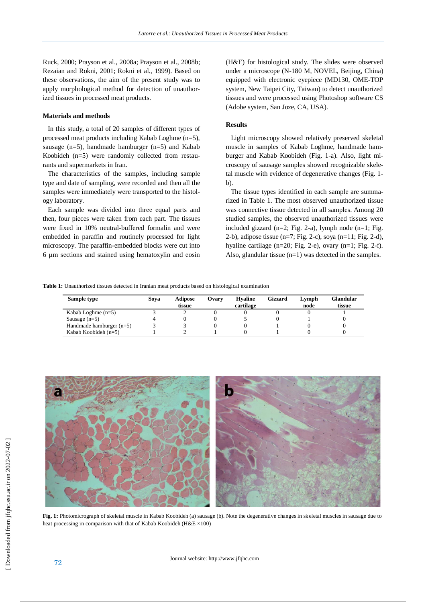Ruck, 2000; Prayson et al., 2008a; Prayson et al., 2008b; Rezaian and Rokni, 2001; Rokni et al., 1999). Based on these observations, the aim of the present study was to apply morphological method for detection of unauthorized tissues in processed meat products.

## **Materials and methods**

 In this study, a total of 20 samples of different types of processed meat products including Kabab Loghme (n=5), sausage (n=5), handmade hamburger (n=5) and Kabab Koobideh (n=5) were randomly collected from restaurants and supermarkets in Iran.

The characteristics of the samples, including sample type and date of sampling, were recorded and then all the samples were immediately were transported to the histology laboratory.

Each sample was divided into three equal parts and then, four pieces were taken from each part. The tissues were fixed in 10% neutral-buffered formalin and were embedded in paraffin and routinely processed for light microscopy. The paraffin-embedded blocks were cut into 6 µm sections and stained using hematoxylin and eosin

(H&E) for histological study. The slides were observed under a microscope (N-180 M, NOVEL, Beijing, China) equipped with electronic eyepiece (MD130, OME-TOP system, New Taipei City, Taiwan) to detect unauthorized tissues and were processed using Photoshop software CS (Adobe system, San Joze, CA, USA).

## **Results**

 Light microscopy showed relatively preserved skeletal muscle in samples of Kabab Loghme, handmade hamburger and Kabab Koobideh (Fig. 1-a). Also, light microscopy of sausage samples showed recognizable skeletal muscle with evidence of degenerative changes (Fig. 1 b).

The tissue types identified in each sample are summarized in Table 1. The most observed unauthorized tissue was connective tissue detected in all samples. Among 20 studied samples, the observed unauthorized tissues were included gizzard ( $n=2$ ; Fig. 2-a), lymph node ( $n=1$ ; Fig. 2-b), adipose tissue (n=7; Fig. 2-c), soya (n=11; Fig. 2-d), hyaline cartilage (n=20; Fig. 2-e), ovary (n=1; Fig. 2-f). Also, glandular tissue (n=1) was detected in the samples.

**Table 1:** Unauthorized tissues detected in Iranian meat products based on histological examination

| Sample type                | Sova | <b>Adipose</b><br>tissue | Ovarv | <b>H</b> valine<br>cartilage | Gizzard | Lymph<br>node | Glandular<br>tissue |
|----------------------------|------|--------------------------|-------|------------------------------|---------|---------------|---------------------|
| Kabab Loghme $(n=5)$       |      |                          |       |                              |         |               |                     |
| Sausage $(n=5)$            |      |                          |       |                              |         |               |                     |
| Handmade hamburger $(n=5)$ |      |                          |       |                              |         |               |                     |
| Kabab Koobideh $(n=5)$     |      |                          |       |                              |         |               |                     |



**Fig. 1:** Photomicrograph of skeletal muscle in Kabab Koobideh (a) sausage (b). Note the degenerative changes in skeletal muscles in sausage due to heat processing in comparison with that of Kabab Koobideh ( $H&E \times 100$ )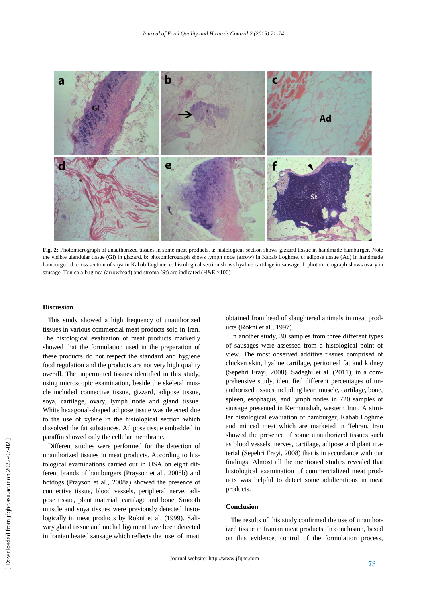

**Fig. 2:** Photomicrograph of unauthorized tissues in some meat products. a: histological section shows gizzard tissue in handmade hamburger. Note the visible glandular tissue (Gl) in gizzard. b: photomicrograph shows lymph node (arrow) in Kabab Loghme. c: adipose tissue (Ad) in handmade hamburger. d: cross section of soya in Kabab Loghme. e: histological section shows hyaline cartilage in sausage. f: photomicrograph shows ovary in sausage. Tunica albuginea (arrowhead) and stroma (St) are indicated (H&E  $\times$ 100)

#### **Discussion**

 This study showed a high frequency of unauthorized tissues in various commercial meat products sold in Iran. The histological evaluation of meat products markedly showed that the formulation used in the preparation of these products do not respect the standard and hygiene food regulation and the products are not very high quality overall. The unpermitted tissues identified in this study, using microscopic examination, beside the skeletal muscle included connective tissue, gizzard, adipose tissue, soya, cartilage, ovary, lymph node and gland tissue. White hexagonal-shaped adipose tissue was detected due to the use of xylene in the histological section which dissolved the fat substances. Adipose tissue embedded in paraffin showed only the cellular membrane.

 Different studies were performed for the detection of unauthorized tissues in meat products. According to histological examinations carried out in USA on eight different brands of hamburgers (Prayson et al., 2008b) and hotdogs (Prayson et al., 2008a) showed the presence of connective tissue, blood vessels, peripheral nerve, adipose tissue, plant material, cartilage and bone. Smooth muscle and soya tissues were previously detected histologically in meat products by Rokni et al. (1999). Salivary gland tissue and nuchal ligament have been detected in Iranian heated sausage which reflects the use of meat

obtained from head of slaughtered animals in meat products (Rokni et al., 1997).

 In another study, 30 samples from three different types of sausages were assessed from a histological point of view. The most observed additive tissues comprised of chicken skin, hyaline cartilage, peritoneal fat and kidney (Sepehri Erayi, 2008). Sadeghi et al. (2011), in a comprehensive study, identified different percentages of unauthorized tissues including heart muscle, cartilage, bone, spleen, esophagus, and lymph nodes in 720 samples of sausage presented in Kermanshah, western Iran. A similar histological evaluation of hamburger, Kabab Loghme and minced meat which are marketed in Tehran, Iran showed the presence of some unauthorized tissues such as blood vessels, nerves, cartilage, adipose and plant material (Sepehri Erayi, 2008) that is in accordance with our findings. Almost all the mentioned studies revealed that histological examination of commercialized meat products was helpful to detect some adulterations in meat products.

## **Conclusion**

 The results of this study confirmed the use of unauthorized tissue in Iranian meat products. In conclusion, based on this evidence, control of the formulation process,